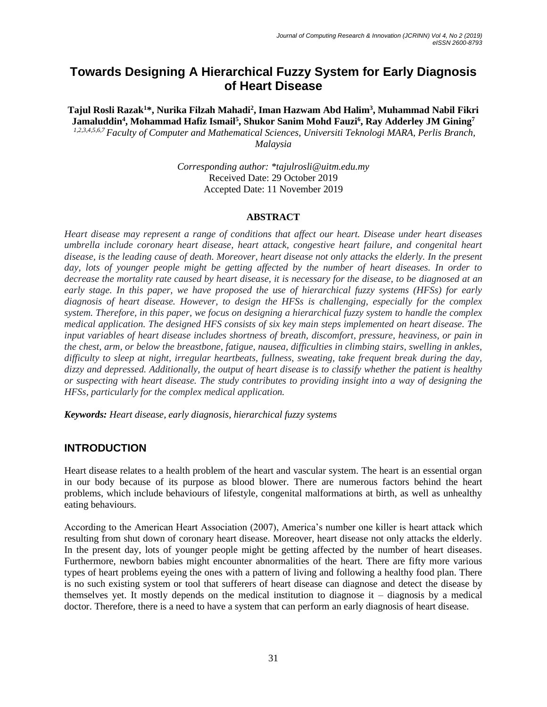# **Towards Designing A Hierarchical Fuzzy System for Early Diagnosis of Heart Disease**

**Tajul Rosli Razak<sup>1</sup>\*, Nurika Filzah Mahadi<sup>2</sup> , Iman Hazwam Abd Halim<sup>3</sup> , Muhammad Nabil Fikri Jamaluddin<sup>4</sup> , Mohammad Hafiz Ismail<sup>5</sup> , Shukor Sanim Mohd Fauzi<sup>6</sup> , Ray Adderley JM Gining<sup>7</sup>** *1,2,3,4,5,6,7 Faculty of Computer and Mathematical Sciences, Universiti Teknologi MARA, Perlis Branch,*

*Malaysia* 

*Corresponding author: \*tajulrosli@uitm.edu.my* Received Date: 29 October 2019 Accepted Date: 11 November 2019

### **ABSTRACT**

*Heart disease may represent a range of conditions that affect our heart. Disease under heart diseases umbrella include coronary heart disease, heart attack, congestive heart failure, and congenital heart disease, is the leading cause of death. Moreover, heart disease not only attacks the elderly. In the present day, lots of younger people might be getting affected by the number of heart diseases. In order to decrease the mortality rate caused by heart disease, it is necessary for the disease, to be diagnosed at an early stage. In this paper, we have proposed the use of hierarchical fuzzy systems (HFSs) for early diagnosis of heart disease. However, to design the HFSs is challenging, especially for the complex system. Therefore, in this paper, we focus on designing a hierarchical fuzzy system to handle the complex medical application. The designed HFS consists of six key main steps implemented on heart disease. The input variables of heart disease includes shortness of breath, discomfort, pressure, heaviness, or pain in the chest, arm, or below the breastbone, fatigue, nausea, difficulties in climbing stairs, swelling in ankles, difficulty to sleep at night, irregular heartbeats, fullness, sweating, take frequent break during the day, dizzy and depressed. Additionally, the output of heart disease is to classify whether the patient is healthy or suspecting with heart disease. The study contributes to providing insight into a way of designing the HFSs, particularly for the complex medical application.*

*Keywords: Heart disease, early diagnosis, hierarchical fuzzy systems*

# **INTRODUCTION**

Heart disease relates to a health problem of the heart and vascular system. The heart is an essential organ in our body because of its purpose as blood blower. There are numerous factors behind the heart problems, which include behaviours of lifestyle, congenital malformations at birth, as well as unhealthy eating behaviours.

According to the American Heart Association (2007), America's number one killer is heart attack which resulting from shut down of coronary heart disease. Moreover, heart disease not only attacks the elderly. In the present day, lots of younger people might be getting affected by the number of heart diseases. Furthermore, newborn babies might encounter abnormalities of the heart. There are fifty more various types of heart problems eyeing the ones with a pattern of living and following a healthy food plan. There is no such existing system or tool that sufferers of heart disease can diagnose and detect the disease by themselves yet. It mostly depends on the medical institution to diagnose it – diagnosis by a medical doctor. Therefore, there is a need to have a system that can perform an early diagnosis of heart disease.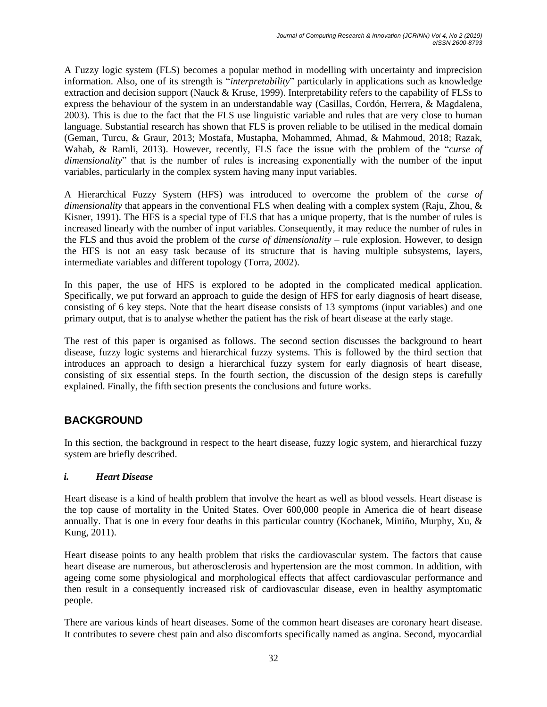A Fuzzy logic system (FLS) becomes a popular method in modelling with uncertainty and imprecision information. Also, one of its strength is "*interpretability*" particularly in applications such as knowledge extraction and decision support (Nauck & Kruse, 1999). Interpretability refers to the capability of FLSs to express the behaviour of the system in an understandable way (Casillas, Cordón, Herrera, & Magdalena, 2003). This is due to the fact that the FLS use linguistic variable and rules that are very close to human language. Substantial research has shown that FLS is proven reliable to be utilised in the medical domain (Geman, Turcu, & Graur, 2013; Mostafa, Mustapha, Mohammed, Ahmad, & Mahmoud, 2018; Razak, Wahab, & Ramli, 2013). However, recently, FLS face the issue with the problem of the "*curse of dimensionality*" that is the number of rules is increasing exponentially with the number of the input variables, particularly in the complex system having many input variables.

A Hierarchical Fuzzy System (HFS) was introduced to overcome the problem of the *curse of dimensionality* that appears in the conventional FLS when dealing with a complex system (Raju, Zhou, & Kisner, 1991). The HFS is a special type of FLS that has a unique property, that is the number of rules is increased linearly with the number of input variables. Consequently, it may reduce the number of rules in the FLS and thus avoid the problem of the *curse of dimensionality* – rule explosion. However, to design the HFS is not an easy task because of its structure that is having multiple subsystems, layers, intermediate variables and different topology (Torra, 2002).

In this paper, the use of HFS is explored to be adopted in the complicated medical application. Specifically, we put forward an approach to guide the design of HFS for early diagnosis of heart disease, consisting of 6 key steps. Note that the heart disease consists of 13 symptoms (input variables) and one primary output, that is to analyse whether the patient has the risk of heart disease at the early stage.

The rest of this paper is organised as follows. The second section discusses the background to heart disease, fuzzy logic systems and hierarchical fuzzy systems. This is followed by the third section that introduces an approach to design a hierarchical fuzzy system for early diagnosis of heart disease, consisting of six essential steps. In the fourth section, the discussion of the design steps is carefully explained. Finally, the fifth section presents the conclusions and future works.

# **BACKGROUND**

In this section, the background in respect to the heart disease, fuzzy logic system, and hierarchical fuzzy system are briefly described.

# *i. Heart Disease*

Heart disease is a kind of health problem that involve the heart as well as blood vessels. Heart disease is the top cause of mortality in the United States. Over 600,000 people in America die of heart disease annually. That is one in every four deaths in this particular country (Kochanek, Miniño, Murphy, Xu, & Kung, 2011).

Heart disease points to any health problem that risks the cardiovascular system. The factors that cause heart disease are numerous, but atherosclerosis and hypertension are the most common. In addition, with ageing come some physiological and morphological effects that affect cardiovascular performance and then result in a consequently increased risk of cardiovascular disease, even in healthy asymptomatic people.

There are various kinds of heart diseases. Some of the common heart diseases are coronary heart disease. It contributes to severe chest pain and also discomforts specifically named as angina. Second, myocardial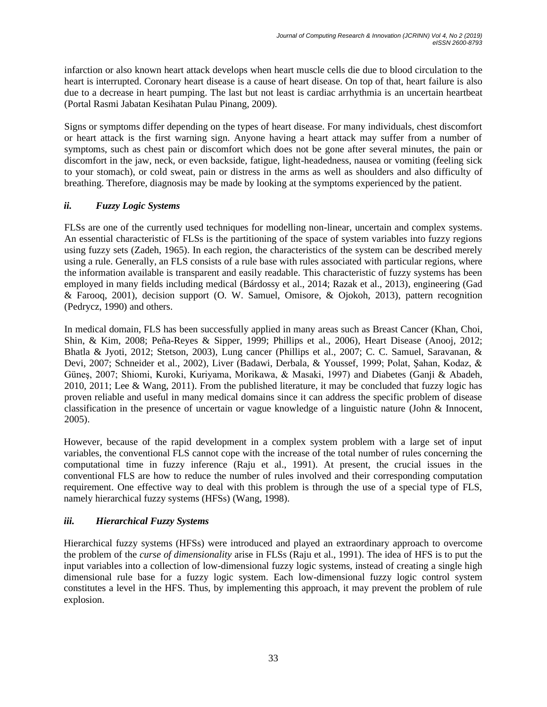infarction or also known heart attack develops when heart muscle cells die due to blood circulation to the heart is interrupted. Coronary heart disease is a cause of heart disease. On top of that, heart failure is also due to a decrease in heart pumping. The last but not least is cardiac arrhythmia is an uncertain heartbeat (Portal Rasmi Jabatan Kesihatan Pulau Pinang, 2009).

Signs or symptoms differ depending on the types of heart disease. For many individuals, chest discomfort or heart attack is the first warning sign. Anyone having a heart attack may suffer from a number of symptoms, such as chest pain or discomfort which does not be gone after several minutes, the pain or discomfort in the jaw, neck, or even backside, fatigue, light-headedness, nausea or vomiting (feeling sick to your stomach), or cold sweat, pain or distress in the arms as well as shoulders and also difficulty of breathing. Therefore, diagnosis may be made by looking at the symptoms experienced by the patient.

## *ii. Fuzzy Logic Systems*

FLSs are one of the currently used techniques for modelling non-linear, uncertain and complex systems. An essential characteristic of FLSs is the partitioning of the space of system variables into fuzzy regions using fuzzy sets (Zadeh, 1965). In each region, the characteristics of the system can be described merely using a rule. Generally, an FLS consists of a rule base with rules associated with particular regions, where the information available is transparent and easily readable. This characteristic of fuzzy systems has been employed in many fields including medical (Bárdossy et al., 2014; Razak et al., 2013), engineering (Gad & Farooq, 2001), decision support (O. W. Samuel, Omisore, & Ojokoh, 2013), pattern recognition (Pedrycz, 1990) and others.

In medical domain, FLS has been successfully applied in many areas such as Breast Cancer (Khan, Choi, Shin, & Kim, 2008; Peña-Reyes & Sipper, 1999; Phillips et al., 2006), Heart Disease (Anooj, 2012; Bhatla & Jyoti, 2012; Stetson, 2003), Lung cancer (Phillips et al., 2007; C. C. Samuel, Saravanan, & Devi, 2007; Schneider et al., 2002), Liver (Badawi, Derbala, & Youssef, 1999; Polat, Şahan, Kodaz, & Güneş, 2007; Shiomi, Kuroki, Kuriyama, Morikawa, & Masaki, 1997) and Diabetes (Ganji & Abadeh, 2010, 2011; Lee & Wang, 2011). From the published literature, it may be concluded that fuzzy logic has proven reliable and useful in many medical domains since it can address the specific problem of disease classification in the presence of uncertain or vague knowledge of a linguistic nature (John & Innocent, 2005).

However, because of the rapid development in a complex system problem with a large set of input variables, the conventional FLS cannot cope with the increase of the total number of rules concerning the computational time in fuzzy inference (Raju et al., 1991). At present, the crucial issues in the conventional FLS are how to reduce the number of rules involved and their corresponding computation requirement. One effective way to deal with this problem is through the use of a special type of FLS, namely hierarchical fuzzy systems (HFSs) (Wang, 1998).

# *iii. Hierarchical Fuzzy Systems*

Hierarchical fuzzy systems (HFSs) were introduced and played an extraordinary approach to overcome the problem of the *curse of dimensionality* arise in FLSs (Raju et al., 1991). The idea of HFS is to put the input variables into a collection of low-dimensional fuzzy logic systems, instead of creating a single high dimensional rule base for a fuzzy logic system. Each low-dimensional fuzzy logic control system constitutes a level in the HFS. Thus, by implementing this approach, it may prevent the problem of rule explosion.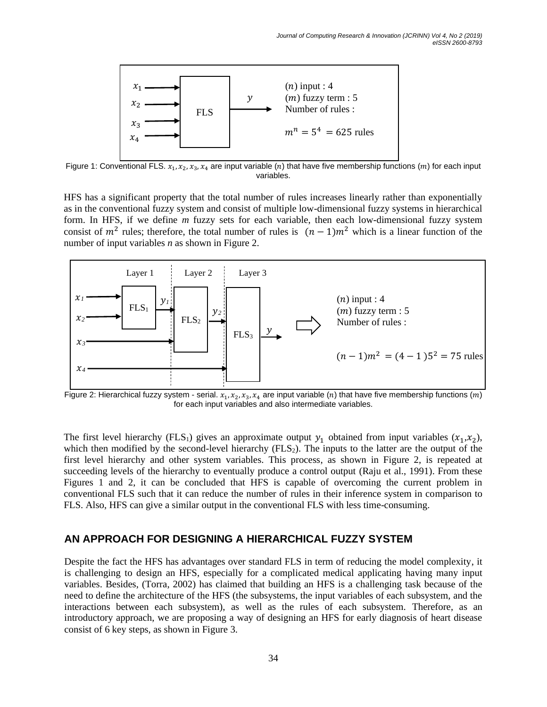

Figure 1: Conventional FLS.  $x_1, x_2, x_3, x_4$  are input variable (n) that have five membership functions (m) for each input variables.

HFS has a significant property that the total number of rules increases linearly rather than exponentially as in the conventional fuzzy system and consist of multiple low-dimensional fuzzy systems in hierarchical form. In HFS, if we define *m* fuzzy sets for each variable, then each low-dimensional fuzzy system consist of  $m^2$  rules; therefore, the total number of rules is  $(n-1)m^2$  which is a linear function of the number of input variables *n* as shown in Figure 2.



Figure 2: Hierarchical fuzzy system - serial.  $x_1, x_2, x_3, x_4$  are input variable (n) that have five membership functions (m) for each input variables and also intermediate variables.

The first level hierarchy (FLS<sub>1</sub>) gives an approximate output  $y_1$  obtained from input variables  $(x_1, x_2)$ , which then modified by the second-level hierarchy  $(FLS<sub>2</sub>)$ . The inputs to the latter are the output of the first level hierarchy and other system variables. This process, as shown in Figure 2, is repeated at succeeding levels of the hierarchy to eventually produce a control output (Raju et al., 1991). From these Figures 1 and 2, it can be concluded that HFS is capable of overcoming the current problem in conventional FLS such that it can reduce the number of rules in their inference system in comparison to FLS. Also, HFS can give a similar output in the conventional FLS with less time-consuming.

## **AN APPROACH FOR DESIGNING A HIERARCHICAL FUZZY SYSTEM**

Despite the fact the HFS has advantages over standard FLS in term of reducing the model complexity, it is challenging to design an HFS, especially for a complicated medical applicating having many input variables. Besides, (Torra, 2002) has claimed that building an HFS is a challenging task because of the need to define the architecture of the HFS (the subsystems, the input variables of each subsystem, and the interactions between each subsystem), as well as the rules of each subsystem. Therefore, as an introductory approach, we are proposing a way of designing an HFS for early diagnosis of heart disease consist of 6 key steps, as shown in Figure 3.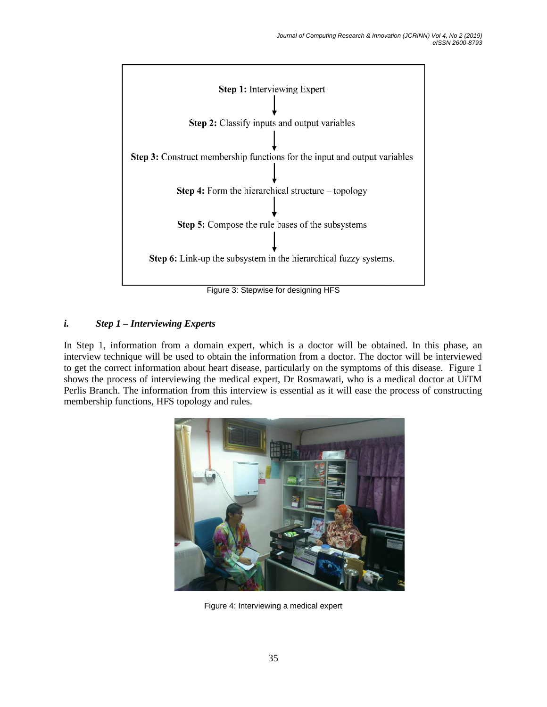

Figure 3: Stepwise for designing HFS

# *i. Step 1 – Interviewing Experts*

In Step 1, information from a domain expert, which is a doctor will be obtained. In this phase, an interview technique will be used to obtain the information from a doctor. The doctor will be interviewed to get the correct information about heart disease, particularly on the symptoms of this disease. Figure 1 shows the process of interviewing the medical expert, Dr Rosmawati, who is a medical doctor at UiTM Perlis Branch. The information from this interview is essential as it will ease the process of constructing membership functions, HFS topology and rules.



Figure 4: Interviewing a medical expert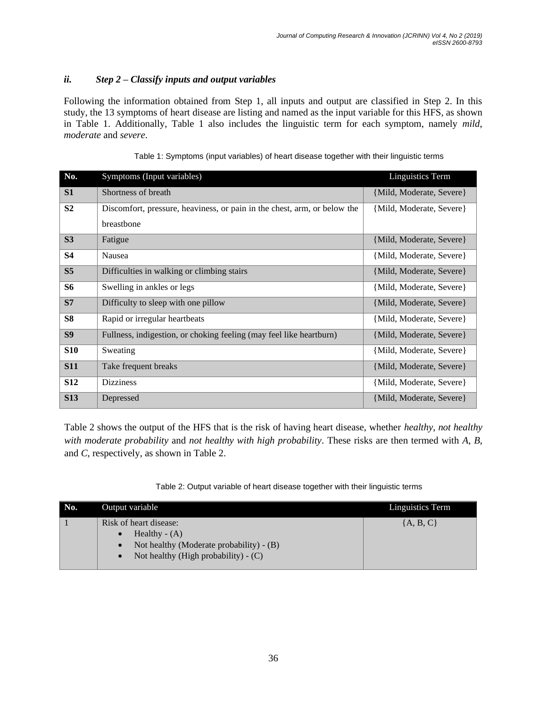## *ii. Step 2 – Classify inputs and output variables*

Following the information obtained from Step 1, all inputs and output are classified in Step 2. In this study, the 13 symptoms of heart disease are listing and named as the input variable for this HFS, as shown in Table 1. Additionally, Table 1 also includes the linguistic term for each symptom, namely *mild*, *moderate* and *severe*.

| No.            | Symptoms (Input variables)                                               | <b>Linguistics Term</b>  |
|----------------|--------------------------------------------------------------------------|--------------------------|
| S <sub>1</sub> | Shortness of breath                                                      | {Mild, Moderate, Severe} |
| S <sub>2</sub> | Discomfort, pressure, heaviness, or pain in the chest, arm, or below the | {Mild, Moderate, Severe} |
|                | breastbone                                                               |                          |
| S3             | Fatigue                                                                  | {Mild, Moderate, Severe} |
| <b>S4</b>      | Nausea                                                                   | {Mild, Moderate, Severe} |
| S <sub>5</sub> | Difficulties in walking or climbing stairs                               | {Mild, Moderate, Severe} |
| <b>S6</b>      | Swelling in ankles or legs                                               | {Mild, Moderate, Severe} |
| S7             | Difficulty to sleep with one pillow                                      | {Mild, Moderate, Severe} |
| <b>S8</b>      | Rapid or irregular heartbeats                                            | {Mild, Moderate, Severe} |
| S <sub>9</sub> | Fullness, indigestion, or choking feeling (may feel like heartburn)      | {Mild, Moderate, Severe} |
| <b>S10</b>     | Sweating                                                                 | {Mild, Moderate, Severe} |
| <b>S11</b>     | Take frequent breaks                                                     | {Mild, Moderate, Severe} |
| <b>S12</b>     | <b>Dizziness</b>                                                         | {Mild, Moderate, Severe} |
| <b>S13</b>     | Depressed                                                                | {Mild, Moderate, Severe} |

|  | Table 1: Symptoms (input variables) of heart disease together with their linguistic terms |  |
|--|-------------------------------------------------------------------------------------------|--|
|  |                                                                                           |  |
|  |                                                                                           |  |

Table 2 shows the output of the HFS that is the risk of having heart disease, whether *healthy*, *not healthy with moderate probability* and *not healthy with high probability*. These risks are then termed with *A*, *B*, and *C*, respectively, as shown in Table 2.

Table 2: Output variable of heart disease together with their linguistic terms

| No. | Output variable                                                                                                                 | Linguistics Term |
|-----|---------------------------------------------------------------------------------------------------------------------------------|------------------|
|     | Risk of heart disease:<br>Healthy $- (A)$<br>Not healthy (Moderate probability) - (B)<br>Not healthy (High probability) $- (C)$ | ${A, B, C}$      |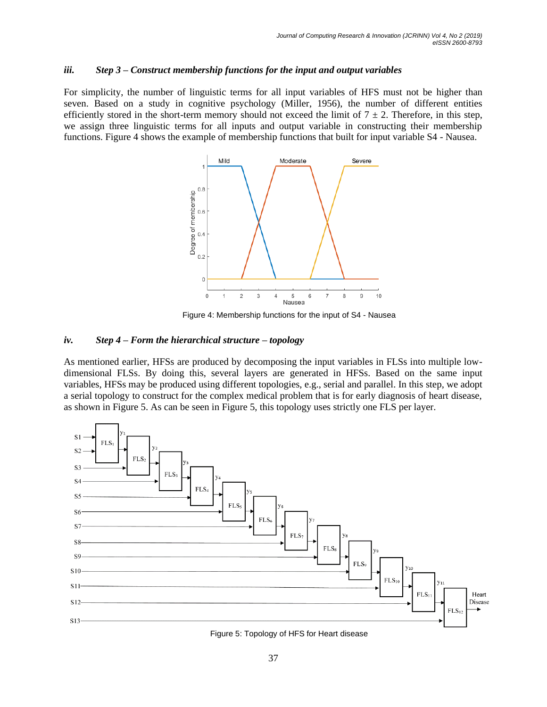#### *iii. Step 3 – Construct membership functions for the input and output variables*

For simplicity, the number of linguistic terms for all input variables of HFS must not be higher than seven. Based on a study in cognitive psychology (Miller, 1956), the number of different entities efficiently stored in the short-term memory should not exceed the limit of  $7 \pm 2$ . Therefore, in this step, we assign three linguistic terms for all inputs and output variable in constructing their membership functions. Figure 4 shows the example of membership functions that built for input variable S4 - Nausea.



Figure 4: Membership functions for the input of S4 - Nausea

#### *iv. Step 4 – Form the hierarchical structure – topology*

As mentioned earlier, HFSs are produced by decomposing the input variables in FLSs into multiple lowdimensional FLSs. By doing this, several layers are generated in HFSs. Based on the same input variables, HFSs may be produced using different topologies, e.g., serial and parallel. In this step, we adopt a serial topology to construct for the complex medical problem that is for early diagnosis of heart disease, as shown in Figure 5. As can be seen in Figure 5, this topology uses strictly one FLS per layer.



Figure 5: Topology of HFS for Heart disease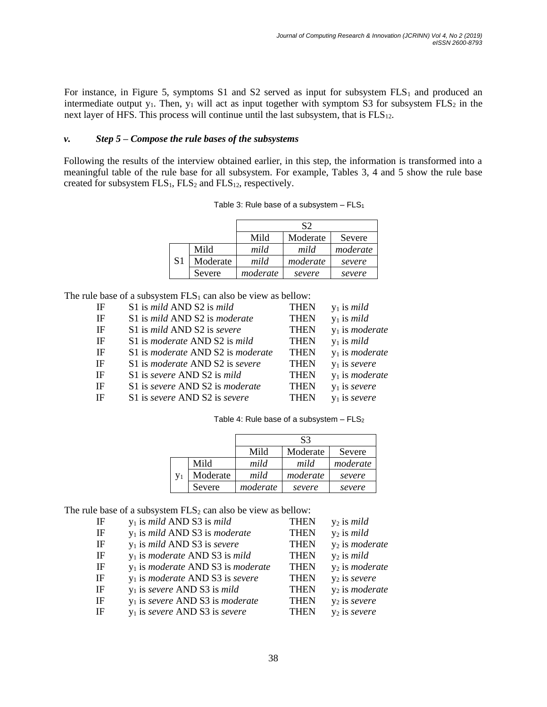For instance, in Figure 5, symptoms S1 and S2 served as input for subsystem  $FLS_1$  and produced an intermediate output  $y_1$ . Then,  $y_1$  will act as input together with symptom S3 for subsystem  $FLS_2$  in the next layer of HFS. This process will continue until the last subsystem, that is  $FLS_{12}$ .

### *v. Step 5 – Compose the rule bases of the subsystems*

Following the results of the interview obtained earlier, in this step, the information is transformed into a meaningful table of the rule base for all subsystem. For example, Tables 3, 4 and 5 show the rule base created for subsystem  $FLS_1$ ,  $FLS_2$  and  $FLS_{12}$ , respectively.

|    |          | S2       |          |          |
|----|----------|----------|----------|----------|
|    |          | Mild     | Moderate | Severe   |
| S1 | Mild     | mild     | mild     | moderate |
|    | Moderate | mild     | moderate | severe   |
|    | Severe   | moderate | severe   | severe   |

Table 3: Rule base of a subsystem  $-$  FLS<sub>1</sub>

The rule base of a subsystem  $FLS<sub>1</sub>$  can also be view as bellow:

| IF | S1 is mild AND S2 is mild                     | <b>THEN</b> | $y_1$ is <i>mild</i>     |
|----|-----------------------------------------------|-------------|--------------------------|
| IF | S1 is mild AND S2 is moderate                 | <b>THEN</b> | $y_1$ is <i>mild</i>     |
| IF | S1 is mild AND S2 is severe                   | <b>THEN</b> | $y_1$ is <i>moderate</i> |
| IF | S1 is <i>moderate</i> AND S2 is <i>mild</i>   | <b>THEN</b> | $y_1$ is <i>mild</i>     |
| IF | S1 is moderate AND S2 is moderate             | <b>THEN</b> | $y_1$ is <i>moderate</i> |
| IF | S1 is <i>moderate</i> AND S2 is <i>severe</i> | <b>THEN</b> | $y_1$ is severe          |
| IF | S1 is severe AND S2 is mild                   | <b>THEN</b> | $y_1$ is <i>moderate</i> |
| IF | S1 is severe AND S2 is moderate               | <b>THEN</b> | $y_1$ is severe          |
| IF | S1 is severe AND S2 is severe                 | <b>THEN</b> | $y_1$ is severe          |
|    |                                               |             |                          |

Table 4: Rule base of a subsystem  $-$  FLS<sub>2</sub>

|    |          | S3       |          |          |
|----|----------|----------|----------|----------|
|    |          | Mild     | Moderate | Severe   |
| V1 | Mild     | mild     | mild     | moderate |
|    | Moderate | mild     | moderate | severe   |
|    | Severe   | moderate | severe   | severe   |

The rule base of a subsystem  $FLS<sub>2</sub>$  can also be view as bellow:

| IF        | $y_1$ is <i>mild</i> AND S3 is <i>mild</i>         | <b>THEN</b> | $y_2$ is <i>mild</i>              |
|-----------|----------------------------------------------------|-------------|-----------------------------------|
| IF        | $y_1$ is mild AND S3 is moderate                   | <b>THEN</b> | $y_2$ is <i>mild</i>              |
| IF        | $y_1$ is mild AND S3 is severe                     | <b>THEN</b> | y <sub>2</sub> is <i>moderate</i> |
| IF        | $y_1$ is <i>moderate</i> AND S3 is <i>mild</i>     | <b>THEN</b> | $y_2$ is <i>mild</i>              |
| IF        | $y_1$ is <i>moderate</i> AND S3 is <i>moderate</i> | <b>THEN</b> | y <sub>2</sub> is <i>moderate</i> |
| <b>IF</b> | $y_1$ is <i>moderate</i> AND S3 is <i>severe</i>   | <b>THEN</b> | $y_2$ is severe                   |
| <b>IF</b> | $y_1$ is severe AND S3 is mild                     | <b>THEN</b> | y <sub>2</sub> is <i>moderate</i> |
| <b>IF</b> | $y_1$ is severe AND S3 is moderate                 | <b>THEN</b> | y <sub>2</sub> is severe          |
| <b>IF</b> | $y_1$ is severe AND S3 is severe                   | <b>THEN</b> | $y_2$ is severe                   |
|           |                                                    |             |                                   |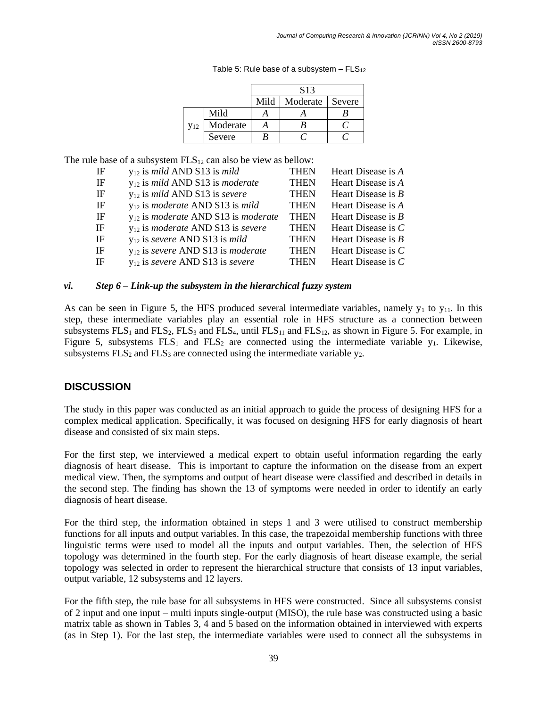|                 |          | S <sub>13</sub> |          |        |
|-----------------|----------|-----------------|----------|--------|
|                 |          | Mild            | Moderate | Severe |
|                 | Mild     |                 |          |        |
| V <sub>12</sub> | Moderate |                 |          |        |
|                 | Severe   | B               |          |        |

Table 5: Rule base of a subsystem  $-$  FLS<sub>12</sub>

The rule base of a subsystem  $FLS_{12}$  can also be view as bellow:

| IF | $y_{12}$ is <i>mild</i> AND S13 is <i>mild</i>         | <b>THEN</b> | Heart Disease is A   |
|----|--------------------------------------------------------|-------------|----------------------|
| IF | $y_{12}$ is mild AND S13 is moderate                   | <b>THEN</b> | Heart Disease is A   |
| IF | $y_{12}$ is <i>mild</i> AND S13 is <i>severe</i>       | <b>THEN</b> | Heart Disease is $B$ |
| IF | $y_{12}$ is <i>moderate</i> AND S13 is <i>mild</i>     | <b>THEN</b> | Heart Disease is A   |
| IF | $y_{12}$ is <i>moderate</i> AND S13 is <i>moderate</i> | <b>THEN</b> | Heart Disease is $B$ |
| IF | $y_{12}$ is <i>moderate</i> AND S13 is <i>severe</i>   | <b>THEN</b> | Heart Disease is $C$ |
| IF | $y_{12}$ is severe AND S13 is mild                     | <b>THEN</b> | Heart Disease is $B$ |
| IF | $y_{12}$ is severe AND S13 is moderate                 | <b>THEN</b> | Heart Disease is $C$ |
| IF | $y_{12}$ is severe AND S13 is severe                   | <b>THEN</b> | Heart Disease is $C$ |
|    |                                                        |             |                      |

### *vi. Step 6 – Link-up the subsystem in the hierarchical fuzzy system*

As can be seen in Figure 5, the HFS produced several intermediate variables, namely  $y_1$  to  $y_{11}$ . In this step, these intermediate variables play an essential role in HFS structure as a connection between subsystems  $FLS_1$  and  $FLS_2$ ,  $FLS_3$  and  $FLS_4$ , until  $FLS_{11}$  and  $FLS_{12}$ , as shown in Figure 5. For example, in Figure 5, subsystems  $FLS_1$  and  $FLS_2$  are connected using the intermediate variable y<sub>1</sub>. Likewise, subsystems  $FLS_2$  and  $FLS_3$  are connected using the intermediate variable  $y_2$ .

# **DISCUSSION**

The study in this paper was conducted as an initial approach to guide the process of designing HFS for a complex medical application. Specifically, it was focused on designing HFS for early diagnosis of heart disease and consisted of six main steps.

For the first step, we interviewed a medical expert to obtain useful information regarding the early diagnosis of heart disease. This is important to capture the information on the disease from an expert medical view. Then, the symptoms and output of heart disease were classified and described in details in the second step. The finding has shown the 13 of symptoms were needed in order to identify an early diagnosis of heart disease.

For the third step, the information obtained in steps 1 and 3 were utilised to construct membership functions for all inputs and output variables. In this case, the trapezoidal membership functions with three linguistic terms were used to model all the inputs and output variables. Then, the selection of HFS topology was determined in the fourth step. For the early diagnosis of heart disease example, the serial topology was selected in order to represent the hierarchical structure that consists of 13 input variables, output variable, 12 subsystems and 12 layers.

For the fifth step, the rule base for all subsystems in HFS were constructed. Since all subsystems consist of 2 input and one input – multi inputs single-output (MISO), the rule base was constructed using a basic matrix table as shown in Tables 3, 4 and 5 based on the information obtained in interviewed with experts (as in Step 1). For the last step, the intermediate variables were used to connect all the subsystems in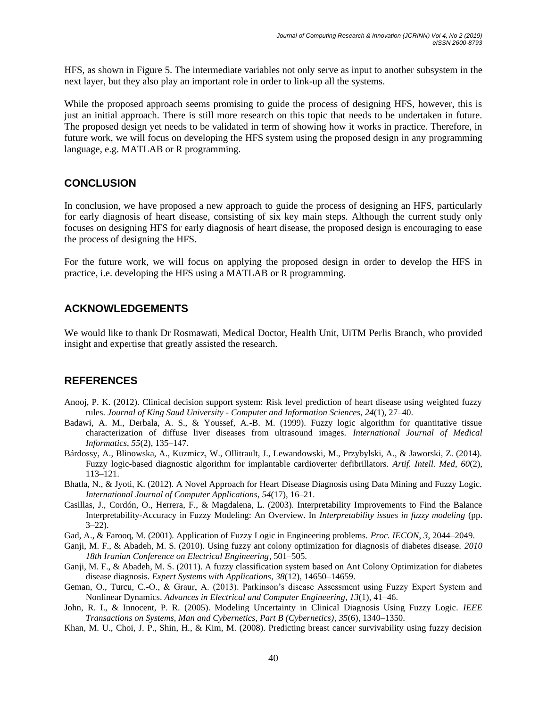HFS, as shown in Figure 5. The intermediate variables not only serve as input to another subsystem in the next layer, but they also play an important role in order to link-up all the systems.

While the proposed approach seems promising to guide the process of designing HFS, however, this is just an initial approach. There is still more research on this topic that needs to be undertaken in future. The proposed design yet needs to be validated in term of showing how it works in practice. Therefore, in future work, we will focus on developing the HFS system using the proposed design in any programming language, e.g. MATLAB or R programming.

# **CONCLUSION**

In conclusion, we have proposed a new approach to guide the process of designing an HFS, particularly for early diagnosis of heart disease, consisting of six key main steps. Although the current study only focuses on designing HFS for early diagnosis of heart disease, the proposed design is encouraging to ease the process of designing the HFS.

For the future work, we will focus on applying the proposed design in order to develop the HFS in practice, i.e. developing the HFS using a MATLAB or R programming.

# **ACKNOWLEDGEMENTS**

We would like to thank Dr Rosmawati, Medical Doctor, Health Unit, UiTM Perlis Branch, who provided insight and expertise that greatly assisted the research.

# **REFERENCES**

- Anooj, P. K. (2012). Clinical decision support system: Risk level prediction of heart disease using weighted fuzzy rules. *Journal of King Saud University - Computer and Information Sciences*, *24*(1), 27–40.
- Badawi, A. M., Derbala, A. S., & Youssef, A.-B. M. (1999). Fuzzy logic algorithm for quantitative tissue characterization of diffuse liver diseases from ultrasound images. *International Journal of Medical Informatics*, *55*(2), 135–147.
- Bárdossy, A., Blinowska, A., Kuzmicz, W., Ollitrault, J., Lewandowski, M., Przybylski, A., & Jaworski, Z. (2014). Fuzzy logic-based diagnostic algorithm for implantable cardioverter defibrillators. *Artif. Intell. Med*, *60*(2), 113–121.
- Bhatla, N., & Jyoti, K. (2012). A Novel Approach for Heart Disease Diagnosis using Data Mining and Fuzzy Logic. *International Journal of Computer Applications*, *54*(17), 16–21.
- Casillas, J., Cordón, O., Herrera, F., & Magdalena, L. (2003). Interpretability Improvements to Find the Balance Interpretability-Accuracy in Fuzzy Modeling: An Overview. In *Interpretability issues in fuzzy modeling* (pp. 3–22).
- Gad, A., & Farooq, M. (2001). Application of Fuzzy Logic in Engineering problems. *Proc. IECON*, *3*, 2044–2049.
- Ganji, M. F., & Abadeh, M. S. (2010). Using fuzzy ant colony optimization for diagnosis of diabetes disease. *2010 18th Iranian Conference on Electrical Engineering*, 501–505.
- Ganji, M. F., & Abadeh, M. S. (2011). A fuzzy classification system based on Ant Colony Optimization for diabetes disease diagnosis. *Expert Systems with Applications*, *38*(12), 14650–14659.
- Geman, O., Turcu, C.-O., & Graur, A. (2013). Parkinson's disease Assessment using Fuzzy Expert System and Nonlinear Dynamics. *Advances in Electrical and Computer Engineering*, *13*(1), 41–46.
- John, R. I., & Innocent, P. R. (2005). Modeling Uncertainty in Clinical Diagnosis Using Fuzzy Logic. *IEEE Transactions on Systems, Man and Cybernetics, Part B (Cybernetics)*, *35*(6), 1340–1350.
- Khan, M. U., Choi, J. P., Shin, H., & Kim, M. (2008). Predicting breast cancer survivability using fuzzy decision